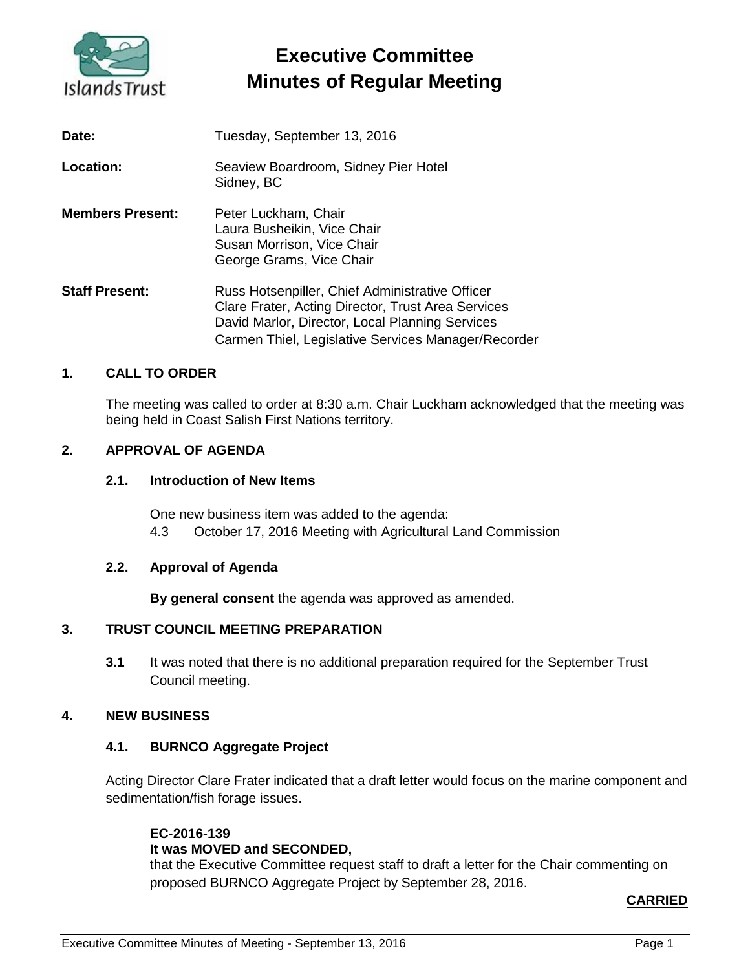

# **Executive Committee Minutes of Regular Meeting**

| Date:                   | Tuesday, September 13, 2016                                                                                                                                                                                     |
|-------------------------|-----------------------------------------------------------------------------------------------------------------------------------------------------------------------------------------------------------------|
| Location:               | Seaview Boardroom, Sidney Pier Hotel<br>Sidney, BC                                                                                                                                                              |
| <b>Members Present:</b> | Peter Luckham, Chair<br>Laura Busheikin, Vice Chair<br>Susan Morrison, Vice Chair<br>George Grams, Vice Chair                                                                                                   |
| <b>Staff Present:</b>   | Russ Hotsenpiller, Chief Administrative Officer<br>Clare Frater, Acting Director, Trust Area Services<br>David Marlor, Director, Local Planning Services<br>Carmen Thiel, Legislative Services Manager/Recorder |

# **1. CALL TO ORDER**

The meeting was called to order at 8:30 a.m. Chair Luckham acknowledged that the meeting was being held in Coast Salish First Nations territory.

# **2. APPROVAL OF AGENDA**

### **2.1. Introduction of New Items**

One new business item was added to the agenda: 4.3 October 17, 2016 Meeting with Agricultural Land Commission

#### **2.2. Approval of Agenda**

**By general consent** the agenda was approved as amended.

#### **3. TRUST COUNCIL MEETING PREPARATION**

**3.1** It was noted that there is no additional preparation required for the September Trust Council meeting.

#### **4. NEW BUSINESS**

#### **4.1. BURNCO Aggregate Project**

Acting Director Clare Frater indicated that a draft letter would focus on the marine component and sedimentation/fish forage issues.

#### **EC-2016-139 It was MOVED and SECONDED,**

that the Executive Committee request staff to draft a letter for the Chair commenting on proposed BURNCO Aggregate Project by September 28, 2016.

# **CARRIED**